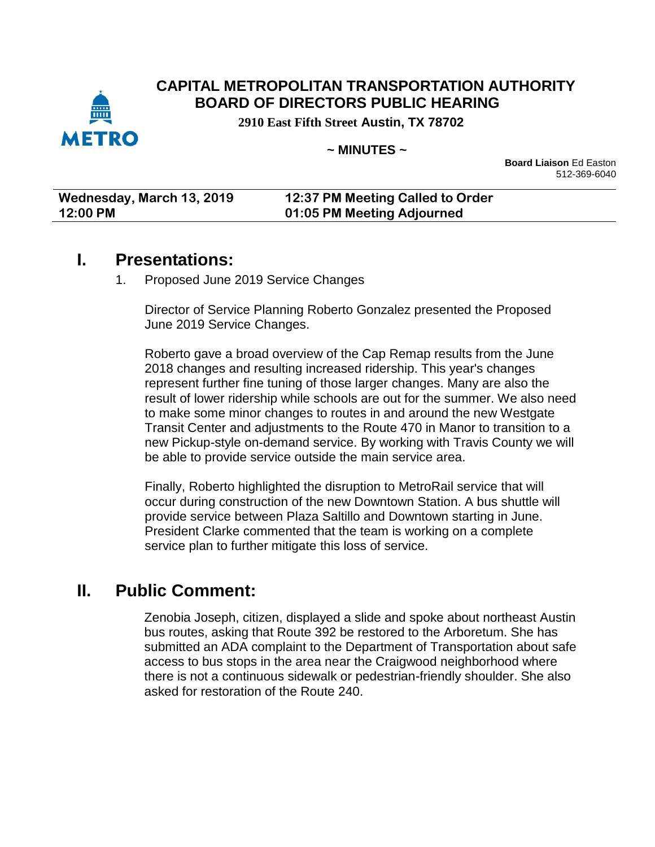

#### **CAPITAL METROPOLITAN TRANSPORTATION AUTHORITY BOARD OF DIRECTORS PUBLIC HEARING**

**2910 East Fifth Street Austin, TX 78702**

#### **~ MINUTES ~**

**Board Liaison** Ed Easton 512-369-6040

| Wednesday, March 13, 2019 | 12:37 PM Meeting Called to Order |
|---------------------------|----------------------------------|
| 12:00 PM                  | 01:05 PM Meeting Adjourned       |

#### **I. Presentations:**

1. Proposed June 2019 Service Changes

Director of Service Planning Roberto Gonzalez presented the Proposed June 2019 Service Changes.

Roberto gave a broad overview of the Cap Remap results from the June 2018 changes and resulting increased ridership. This year's changes represent further fine tuning of those larger changes. Many are also the result of lower ridership while schools are out for the summer. We also need to make some minor changes to routes in and around the new Westgate Transit Center and adjustments to the Route 470 in Manor to transition to a new Pickup-style on-demand service. By working with Travis County we will be able to provide service outside the main service area.

Finally, Roberto highlighted the disruption to MetroRail service that will occur during construction of the new Downtown Station. A bus shuttle will provide service between Plaza Saltillo and Downtown starting in June. President Clarke commented that the team is working on a complete service plan to further mitigate this loss of service.

### **II. Public Comment:**

Zenobia Joseph, citizen, displayed a slide and spoke about northeast Austin bus routes, asking that Route 392 be restored to the Arboretum. She has submitted an ADA complaint to the Department of Transportation about safe access to bus stops in the area near the Craigwood neighborhood where there is not a continuous sidewalk or pedestrian-friendly shoulder. She also asked for restoration of the Route 240.